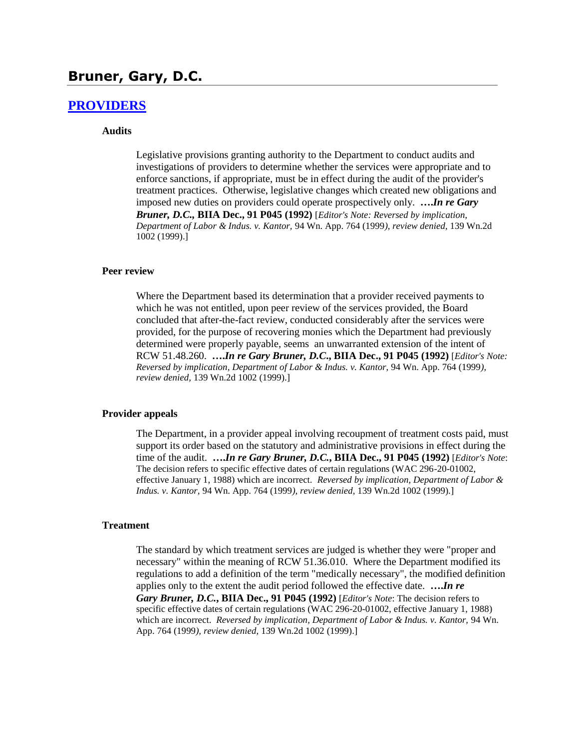## **Bruner, Gary, D.C.**

### **[PROVIDERS](http://www.biia.wa.gov/SDSubjectIndex.html#PROVIDERS)**

### **Audits**

Legislative provisions granting authority to the Department to conduct audits and investigations of providers to determine whether the services were appropriate and to enforce sanctions, if appropriate, must be in effect during the audit of the provider's treatment practices. Otherwise, legislative changes which created new obligations and imposed new duties on providers could operate prospectively only. **….***In re Gary Bruner, D.C.,* **BIIA Dec., 91 P045 (1992)** [*Editor's Note: Reversed by implication, Department of Labor & Indus. v. Kantor,* 94 Wn. App. 764 (1999*), review denied,* 139 Wn.2d 1002 (1999).]

#### **Peer review**

Where the Department based its determination that a provider received payments to which he was not entitled, upon peer review of the services provided, the Board concluded that after-the-fact review, conducted considerably after the services were provided, for the purpose of recovering monies which the Department had previously determined were properly payable, seems an unwarranted extension of the intent of RCW 51.48.260. **….***In re Gary Bruner, D.C***., BIIA Dec., 91 P045 (1992)** [*Editor's Note: Reversed by implication, Department of Labor & Indus. v. Kantor,* 94 Wn. App. 764 (1999*), review denied,* 139 Wn.2d 1002 (1999).]

#### **Provider appeals**

The Department, in a provider appeal involving recoupment of treatment costs paid, must support its order based on the statutory and administrative provisions in effect during the time of the audit. **….***In re Gary Bruner, D.C.***, BIIA Dec., 91 P045 (1992)** [*Editor's Note*: The decision refers to specific effective dates of certain regulations (WAC 296-20-01002, effective January 1, 1988) which are incorrect. *Reversed by implication, Department of Labor & Indus. v. Kantor,* 94 Wn. App. 764 (1999*), review denied,* 139 Wn.2d 1002 (1999).]

#### **Treatment**

The standard by which treatment services are judged is whether they were "proper and necessary" within the meaning of RCW 51.36.010. Where the Department modified its regulations to add a definition of the term "medically necessary", the modified definition applies only to the extent the audit period followed the effective date. **….***In re Gary Bruner, D.C.***, BIIA Dec., 91 P045 (1992)** [*Editor's Note*: The decision refers to specific effective dates of certain regulations (WAC 296-20-01002, effective January 1, 1988) which are incorrect. *Reversed by implication, Department of Labor & Indus. v. Kantor, 94 Wn.* App. 764 (1999*), review denied,* 139 Wn.2d 1002 (1999).]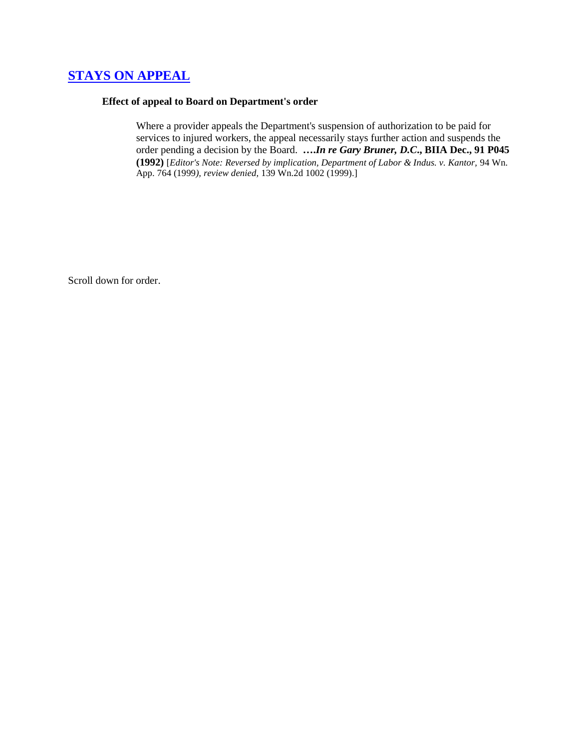# **[STAYS ON APPEAL](http://www.biia.wa.gov/SDSubjectIndex.html#STAYS_ON_APPEAL)**

### **Effect of appeal to Board on Department's order**

Where a provider appeals the Department's suspension of authorization to be paid for services to injured workers, the appeal necessarily stays further action and suspends the order pending a decision by the Board. **….***In re Gary Bruner, D.C***., BIIA Dec., 91 P045 (1992)** [*Editor's Note: Reversed by implication, Department of Labor & Indus. v. Kantor,* 94 Wn. App. 764 (1999*), review denied,* 139 Wn.2d 1002 (1999).]

Scroll down for order.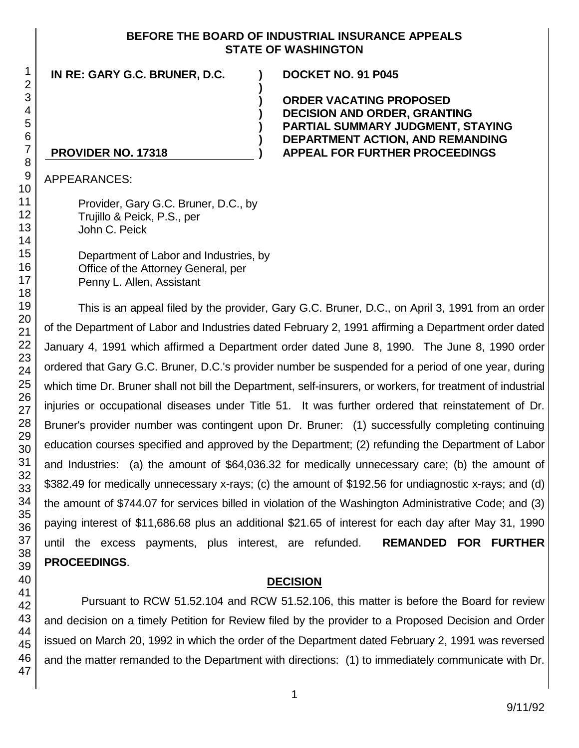## **BEFORE THE BOARD OF INDUSTRIAL INSURANCE APPEALS STATE OF WASHINGTON**

**) ) ) ) ) )**

**IN RE: GARY G.C. BRUNER, D.C. ) DOCKET NO. 91 P045**

**ORDER VACATING PROPOSED DECISION AND ORDER, GRANTING PARTIAL SUMMARY JUDGMENT, STAYING DEPARTMENT ACTION, AND REMANDING APPEAL FOR FURTHER PROCEEDINGS**

### **PROVIDER NO. 17318**

APPEARANCES:

Provider, Gary G.C. Bruner, D.C., by Trujillo & Peick, P.S., per John C. Peick

Department of Labor and Industries, by Office of the Attorney General, per Penny L. Allen, Assistant

This is an appeal filed by the provider, Gary G.C. Bruner, D.C., on April 3, 1991 from an order of the Department of Labor and Industries dated February 2, 1991 affirming a Department order dated January 4, 1991 which affirmed a Department order dated June 8, 1990. The June 8, 1990 order ordered that Gary G.C. Bruner, D.C.'s provider number be suspended for a period of one year, during which time Dr. Bruner shall not bill the Department, self-insurers, or workers, for treatment of industrial injuries or occupational diseases under Title 51. It was further ordered that reinstatement of Dr. Bruner's provider number was contingent upon Dr. Bruner: (1) successfully completing continuing education courses specified and approved by the Department; (2) refunding the Department of Labor and Industries: (a) the amount of \$64,036.32 for medically unnecessary care; (b) the amount of \$382.49 for medically unnecessary x-rays; (c) the amount of \$192.56 for undiagnostic x-rays; and (d) the amount of \$744.07 for services billed in violation of the Washington Administrative Code; and (3) paying interest of \$11,686.68 plus an additional \$21.65 of interest for each day after May 31, 1990 until the excess payments, plus interest, are refunded. **REMANDED FOR FURTHER PROCEEDINGS**.

## **DECISION**

Pursuant to RCW 51.52.104 and RCW 51.52.106, this matter is before the Board for review and decision on a timely Petition for Review filed by the provider to a Proposed Decision and Order issued on March 20, 1992 in which the order of the Department dated February 2, 1991 was reversed and the matter remanded to the Department with directions: (1) to immediately communicate with Dr.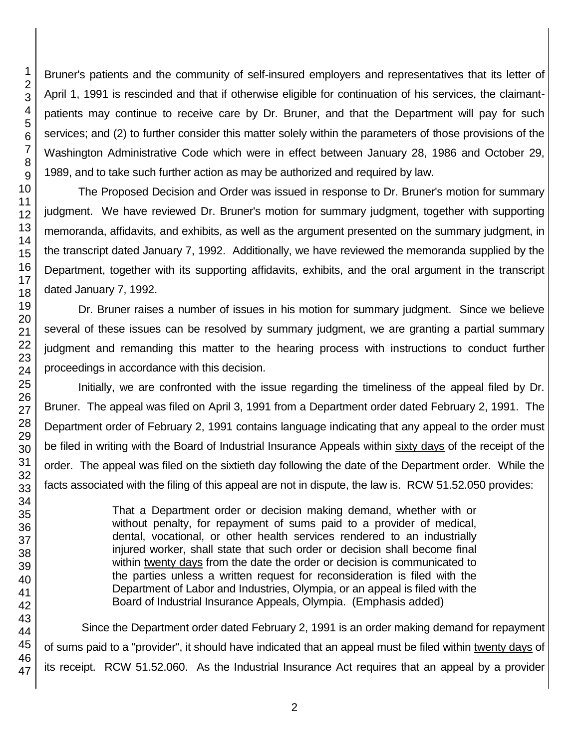Bruner's patients and the community of self-insured employers and representatives that its letter of April 1, 1991 is rescinded and that if otherwise eligible for continuation of his services, the claimantpatients may continue to receive care by Dr. Bruner, and that the Department will pay for such services; and (2) to further consider this matter solely within the parameters of those provisions of the Washington Administrative Code which were in effect between January 28, 1986 and October 29, 1989, and to take such further action as may be authorized and required by law.

The Proposed Decision and Order was issued in response to Dr. Bruner's motion for summary judgment. We have reviewed Dr. Bruner's motion for summary judgment, together with supporting memoranda, affidavits, and exhibits, as well as the argument presented on the summary judgment, in the transcript dated January 7, 1992. Additionally, we have reviewed the memoranda supplied by the Department, together with its supporting affidavits, exhibits, and the oral argument in the transcript dated January 7, 1992.

Dr. Bruner raises a number of issues in his motion for summary judgment. Since we believe several of these issues can be resolved by summary judgment, we are granting a partial summary judgment and remanding this matter to the hearing process with instructions to conduct further proceedings in accordance with this decision.

Initially, we are confronted with the issue regarding the timeliness of the appeal filed by Dr. Bruner. The appeal was filed on April 3, 1991 from a Department order dated February 2, 1991. The Department order of February 2, 1991 contains language indicating that any appeal to the order must be filed in writing with the Board of Industrial Insurance Appeals within sixty days of the receipt of the order. The appeal was filed on the sixtieth day following the date of the Department order. While the facts associated with the filing of this appeal are not in dispute, the law is. RCW 51.52.050 provides:

> That a Department order or decision making demand, whether with or without penalty, for repayment of sums paid to a provider of medical, dental, vocational, or other health services rendered to an industrially injured worker, shall state that such order or decision shall become final within twenty days from the date the order or decision is communicated to the parties unless a written request for reconsideration is filed with the Department of Labor and Industries, Olympia, or an appeal is filed with the Board of Industrial Insurance Appeals, Olympia. (Emphasis added)

Since the Department order dated February 2, 1991 is an order making demand for repayment of sums paid to a "provider", it should have indicated that an appeal must be filed within twenty days of its receipt. RCW 51.52.060. As the Industrial Insurance Act requires that an appeal by a provider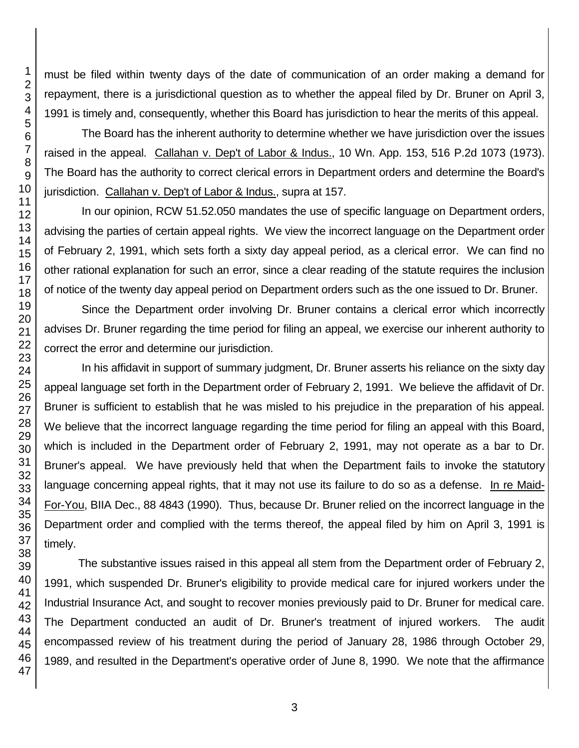must be filed within twenty days of the date of communication of an order making a demand for repayment, there is a jurisdictional question as to whether the appeal filed by Dr. Bruner on April 3, 1991 is timely and, consequently, whether this Board has jurisdiction to hear the merits of this appeal.

The Board has the inherent authority to determine whether we have jurisdiction over the issues raised in the appeal. Callahan v. Dep't of Labor & Indus., 10 Wn. App. 153, 516 P.2d 1073 (1973). The Board has the authority to correct clerical errors in Department orders and determine the Board's jurisdiction. Callahan v. Dep't of Labor & Indus., supra at 157.

In our opinion, RCW 51.52.050 mandates the use of specific language on Department orders, advising the parties of certain appeal rights. We view the incorrect language on the Department order of February 2, 1991, which sets forth a sixty day appeal period, as a clerical error. We can find no other rational explanation for such an error, since a clear reading of the statute requires the inclusion of notice of the twenty day appeal period on Department orders such as the one issued to Dr. Bruner.

Since the Department order involving Dr. Bruner contains a clerical error which incorrectly advises Dr. Bruner regarding the time period for filing an appeal, we exercise our inherent authority to correct the error and determine our jurisdiction.

In his affidavit in support of summary judgment, Dr. Bruner asserts his reliance on the sixty day appeal language set forth in the Department order of February 2, 1991. We believe the affidavit of Dr. Bruner is sufficient to establish that he was misled to his prejudice in the preparation of his appeal. We believe that the incorrect language regarding the time period for filing an appeal with this Board, which is included in the Department order of February 2, 1991, may not operate as a bar to Dr. Bruner's appeal. We have previously held that when the Department fails to invoke the statutory language concerning appeal rights, that it may not use its failure to do so as a defense. In re Maid-For-You, BIIA Dec., 88 4843 (1990). Thus, because Dr. Bruner relied on the incorrect language in the Department order and complied with the terms thereof, the appeal filed by him on April 3, 1991 is timely.

The substantive issues raised in this appeal all stem from the Department order of February 2, 1991, which suspended Dr. Bruner's eligibility to provide medical care for injured workers under the Industrial Insurance Act, and sought to recover monies previously paid to Dr. Bruner for medical care. The Department conducted an audit of Dr. Bruner's treatment of injured workers. The audit encompassed review of his treatment during the period of January 28, 1986 through October 29, 1989, and resulted in the Department's operative order of June 8, 1990. We note that the affirmance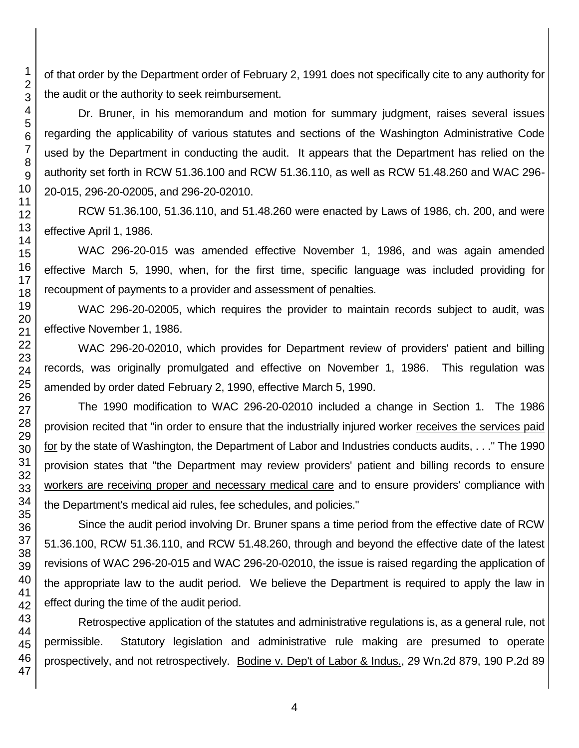of that order by the Department order of February 2, 1991 does not specifically cite to any authority for the audit or the authority to seek reimbursement.

Dr. Bruner, in his memorandum and motion for summary judgment, raises several issues regarding the applicability of various statutes and sections of the Washington Administrative Code used by the Department in conducting the audit. It appears that the Department has relied on the authority set forth in RCW 51.36.100 and RCW 51.36.110, as well as RCW 51.48.260 and WAC 296- 20-015, 296-20-02005, and 296-20-02010.

RCW 51.36.100, 51.36.110, and 51.48.260 were enacted by Laws of 1986, ch. 200, and were effective April 1, 1986.

WAC 296-20-015 was amended effective November 1, 1986, and was again amended effective March 5, 1990, when, for the first time, specific language was included providing for recoupment of payments to a provider and assessment of penalties.

WAC 296-20-02005, which requires the provider to maintain records subject to audit, was effective November 1, 1986.

WAC 296-20-02010, which provides for Department review of providers' patient and billing records, was originally promulgated and effective on November 1, 1986. This regulation was amended by order dated February 2, 1990, effective March 5, 1990.

The 1990 modification to WAC 296-20-02010 included a change in Section 1. The 1986 provision recited that "in order to ensure that the industrially injured worker receives the services paid for by the state of Washington, the Department of Labor and Industries conducts audits, . . ." The 1990 provision states that "the Department may review providers' patient and billing records to ensure workers are receiving proper and necessary medical care and to ensure providers' compliance with the Department's medical aid rules, fee schedules, and policies."

Since the audit period involving Dr. Bruner spans a time period from the effective date of RCW 51.36.100, RCW 51.36.110, and RCW 51.48.260, through and beyond the effective date of the latest revisions of WAC 296-20-015 and WAC 296-20-02010, the issue is raised regarding the application of the appropriate law to the audit period. We believe the Department is required to apply the law in effect during the time of the audit period.

Retrospective application of the statutes and administrative regulations is, as a general rule, not permissible. Statutory legislation and administrative rule making are presumed to operate prospectively, and not retrospectively. Bodine v. Dep't of Labor & Indus., 29 Wn.2d 879, 190 P.2d 89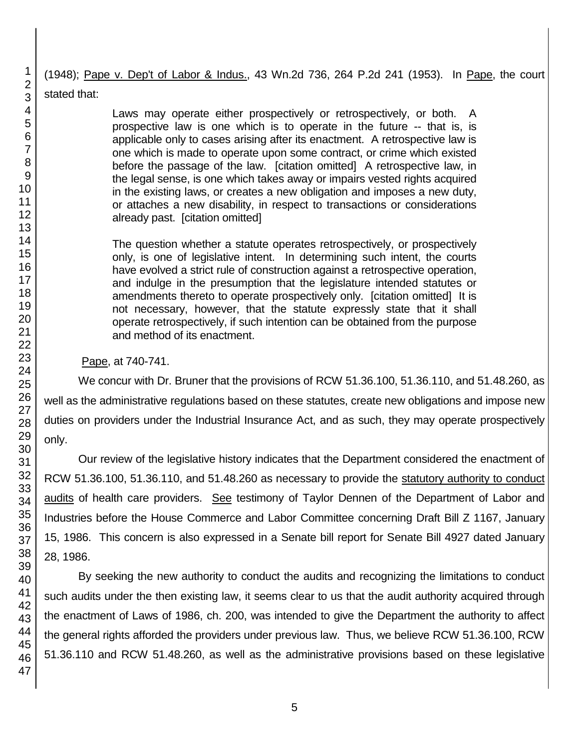(1948); Pape v. Dep't of Labor & Indus., 43 Wn.2d 736, 264 P.2d 241 (1953). In Pape, the court stated that:

> Laws may operate either prospectively or retrospectively, or both. A prospective law is one which is to operate in the future -- that is, is applicable only to cases arising after its enactment. A retrospective law is one which is made to operate upon some contract, or crime which existed before the passage of the law. [citation omitted] A retrospective law, in the legal sense, is one which takes away or impairs vested rights acquired in the existing laws, or creates a new obligation and imposes a new duty, or attaches a new disability, in respect to transactions or considerations already past. [citation omitted]

> The question whether a statute operates retrospectively, or prospectively only, is one of legislative intent. In determining such intent, the courts have evolved a strict rule of construction against a retrospective operation, and indulge in the presumption that the legislature intended statutes or amendments thereto to operate prospectively only. [citation omitted] It is not necessary, however, that the statute expressly state that it shall operate retrospectively, if such intention can be obtained from the purpose and method of its enactment.

Pape, at 740-741.

We concur with Dr. Bruner that the provisions of RCW 51.36.100, 51.36.110, and 51.48.260, as well as the administrative regulations based on these statutes, create new obligations and impose new duties on providers under the Industrial Insurance Act, and as such, they may operate prospectively only.

Our review of the legislative history indicates that the Department considered the enactment of RCW 51.36.100, 51.36.110, and 51.48.260 as necessary to provide the statutory authority to conduct audits of health care providers. See testimony of Taylor Dennen of the Department of Labor and Industries before the House Commerce and Labor Committee concerning Draft Bill Z 1167, January 15, 1986. This concern is also expressed in a Senate bill report for Senate Bill 4927 dated January 28, 1986.

By seeking the new authority to conduct the audits and recognizing the limitations to conduct such audits under the then existing law, it seems clear to us that the audit authority acquired through the enactment of Laws of 1986, ch. 200, was intended to give the Department the authority to affect the general rights afforded the providers under previous law. Thus, we believe RCW 51.36.100, RCW 51.36.110 and RCW 51.48.260, as well as the administrative provisions based on these legislative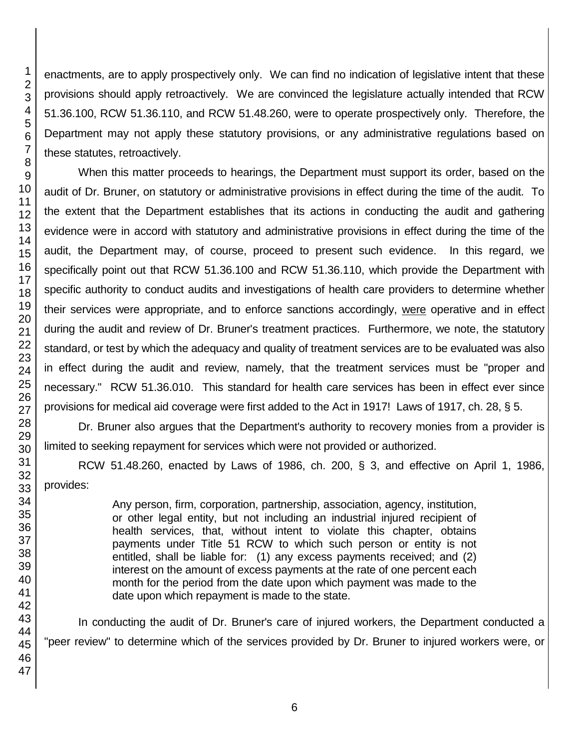enactments, are to apply prospectively only. We can find no indication of legislative intent that these provisions should apply retroactively. We are convinced the legislature actually intended that RCW 51.36.100, RCW 51.36.110, and RCW 51.48.260, were to operate prospectively only. Therefore, the Department may not apply these statutory provisions, or any administrative regulations based on these statutes, retroactively.

When this matter proceeds to hearings, the Department must support its order, based on the audit of Dr. Bruner, on statutory or administrative provisions in effect during the time of the audit. To the extent that the Department establishes that its actions in conducting the audit and gathering evidence were in accord with statutory and administrative provisions in effect during the time of the audit, the Department may, of course, proceed to present such evidence. In this regard, we specifically point out that RCW 51.36.100 and RCW 51.36.110, which provide the Department with specific authority to conduct audits and investigations of health care providers to determine whether their services were appropriate, and to enforce sanctions accordingly, were operative and in effect during the audit and review of Dr. Bruner's treatment practices. Furthermore, we note, the statutory standard, or test by which the adequacy and quality of treatment services are to be evaluated was also in effect during the audit and review, namely, that the treatment services must be "proper and necessary." RCW 51.36.010. This standard for health care services has been in effect ever since provisions for medical aid coverage were first added to the Act in 1917! Laws of 1917, ch. 28, § 5.

Dr. Bruner also argues that the Department's authority to recovery monies from a provider is limited to seeking repayment for services which were not provided or authorized.

RCW 51.48.260, enacted by Laws of 1986, ch. 200, § 3, and effective on April 1, 1986, provides:

> Any person, firm, corporation, partnership, association, agency, institution, or other legal entity, but not including an industrial injured recipient of health services, that, without intent to violate this chapter, obtains payments under Title 51 RCW to which such person or entity is not entitled, shall be liable for: (1) any excess payments received; and (2) interest on the amount of excess payments at the rate of one percent each month for the period from the date upon which payment was made to the date upon which repayment is made to the state.

In conducting the audit of Dr. Bruner's care of injured workers, the Department conducted a "peer review" to determine which of the services provided by Dr. Bruner to injured workers were, or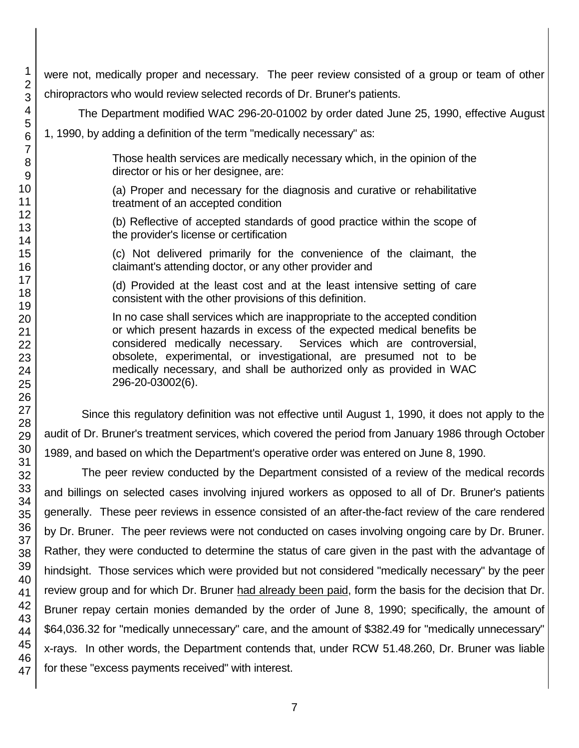47

were not, medically proper and necessary. The peer review consisted of a group or team of other chiropractors who would review selected records of Dr. Bruner's patients.

The Department modified WAC 296-20-01002 by order dated June 25, 1990, effective August

1, 1990, by adding a definition of the term "medically necessary" as:

Those health services are medically necessary which, in the opinion of the director or his or her designee, are:

(a) Proper and necessary for the diagnosis and curative or rehabilitative treatment of an accepted condition

(b) Reflective of accepted standards of good practice within the scope of the provider's license or certification

(c) Not delivered primarily for the convenience of the claimant, the claimant's attending doctor, or any other provider and

(d) Provided at the least cost and at the least intensive setting of care consistent with the other provisions of this definition.

In no case shall services which are inappropriate to the accepted condition or which present hazards in excess of the expected medical benefits be considered medically necessary. Services which are controversial, obsolete, experimental, or investigational, are presumed not to be medically necessary, and shall be authorized only as provided in WAC 296-20-03002(6).

Since this regulatory definition was not effective until August 1, 1990, it does not apply to the audit of Dr. Bruner's treatment services, which covered the period from January 1986 through October 1989, and based on which the Department's operative order was entered on June 8, 1990.

The peer review conducted by the Department consisted of a review of the medical records and billings on selected cases involving injured workers as opposed to all of Dr. Bruner's patients generally. These peer reviews in essence consisted of an after-the-fact review of the care rendered by Dr. Bruner. The peer reviews were not conducted on cases involving ongoing care by Dr. Bruner. Rather, they were conducted to determine the status of care given in the past with the advantage of hindsight. Those services which were provided but not considered "medically necessary" by the peer review group and for which Dr. Bruner had already been paid, form the basis for the decision that Dr. Bruner repay certain monies demanded by the order of June 8, 1990; specifically, the amount of \$64,036.32 for "medically unnecessary" care, and the amount of \$382.49 for "medically unnecessary" x-rays. In other words, the Department contends that, under RCW 51.48.260, Dr. Bruner was liable for these "excess payments received" with interest.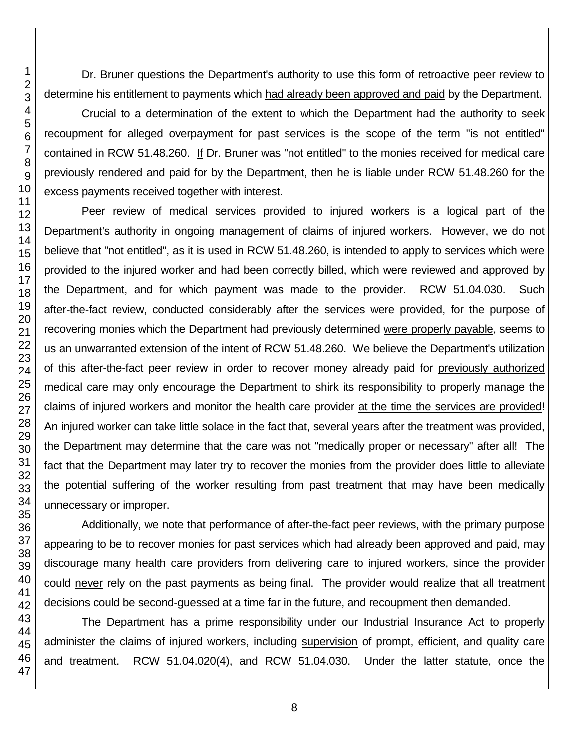Dr. Bruner questions the Department's authority to use this form of retroactive peer review to determine his entitlement to payments which had already been approved and paid by the Department.

Crucial to a determination of the extent to which the Department had the authority to seek recoupment for alleged overpayment for past services is the scope of the term "is not entitled" contained in RCW 51.48.260. If Dr. Bruner was "not entitled" to the monies received for medical care previously rendered and paid for by the Department, then he is liable under RCW 51.48.260 for the excess payments received together with interest.

Peer review of medical services provided to injured workers is a logical part of the Department's authority in ongoing management of claims of injured workers. However, we do not believe that "not entitled", as it is used in RCW 51.48.260, is intended to apply to services which were provided to the injured worker and had been correctly billed, which were reviewed and approved by the Department, and for which payment was made to the provider. RCW 51.04.030. Such after-the-fact review, conducted considerably after the services were provided, for the purpose of recovering monies which the Department had previously determined were properly payable, seems to us an unwarranted extension of the intent of RCW 51.48.260. We believe the Department's utilization of this after-the-fact peer review in order to recover money already paid for previously authorized medical care may only encourage the Department to shirk its responsibility to properly manage the claims of injured workers and monitor the health care provider at the time the services are provided! An injured worker can take little solace in the fact that, several years after the treatment was provided, the Department may determine that the care was not "medically proper or necessary" after all! The fact that the Department may later try to recover the monies from the provider does little to alleviate the potential suffering of the worker resulting from past treatment that may have been medically unnecessary or improper.

Additionally, we note that performance of after-the-fact peer reviews, with the primary purpose appearing to be to recover monies for past services which had already been approved and paid, may discourage many health care providers from delivering care to injured workers, since the provider could never rely on the past payments as being final. The provider would realize that all treatment decisions could be second-guessed at a time far in the future, and recoupment then demanded.

The Department has a prime responsibility under our Industrial Insurance Act to properly administer the claims of injured workers, including supervision of prompt, efficient, and quality care and treatment. RCW 51.04.020(4), and RCW 51.04.030. Under the latter statute, once the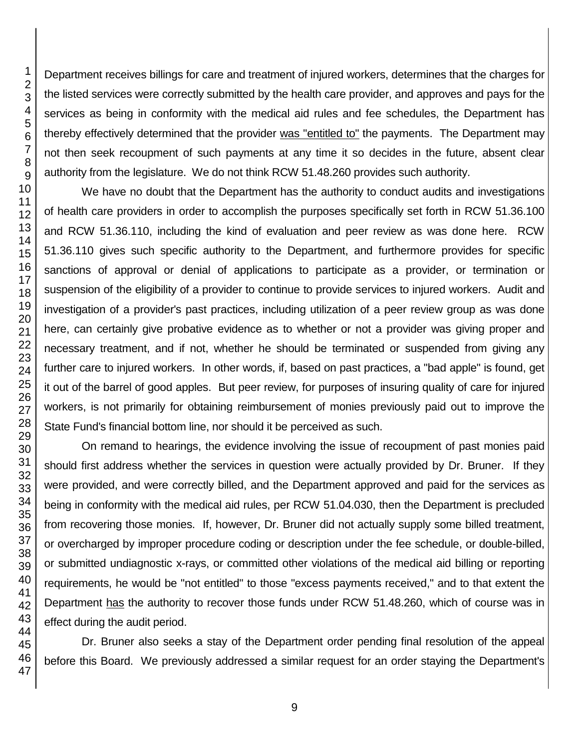Department receives billings for care and treatment of injured workers, determines that the charges for the listed services were correctly submitted by the health care provider, and approves and pays for the services as being in conformity with the medical aid rules and fee schedules, the Department has thereby effectively determined that the provider was "entitled to" the payments. The Department may not then seek recoupment of such payments at any time it so decides in the future, absent clear authority from the legislature. We do not think RCW 51.48.260 provides such authority.

We have no doubt that the Department has the authority to conduct audits and investigations of health care providers in order to accomplish the purposes specifically set forth in RCW 51.36.100 and RCW 51.36.110, including the kind of evaluation and peer review as was done here. RCW 51.36.110 gives such specific authority to the Department, and furthermore provides for specific sanctions of approval or denial of applications to participate as a provider, or termination or suspension of the eligibility of a provider to continue to provide services to injured workers. Audit and investigation of a provider's past practices, including utilization of a peer review group as was done here, can certainly give probative evidence as to whether or not a provider was giving proper and necessary treatment, and if not, whether he should be terminated or suspended from giving any further care to injured workers. In other words, if, based on past practices, a "bad apple" is found, get it out of the barrel of good apples. But peer review, for purposes of insuring quality of care for injured workers, is not primarily for obtaining reimbursement of monies previously paid out to improve the State Fund's financial bottom line, nor should it be perceived as such.

On remand to hearings, the evidence involving the issue of recoupment of past monies paid should first address whether the services in question were actually provided by Dr. Bruner. If they were provided, and were correctly billed, and the Department approved and paid for the services as being in conformity with the medical aid rules, per RCW 51.04.030, then the Department is precluded from recovering those monies. If, however, Dr. Bruner did not actually supply some billed treatment, or overcharged by improper procedure coding or description under the fee schedule, or double-billed, or submitted undiagnostic x-rays, or committed other violations of the medical aid billing or reporting requirements, he would be "not entitled" to those "excess payments received," and to that extent the Department has the authority to recover those funds under RCW 51.48.260, which of course was in effect during the audit period.

Dr. Bruner also seeks a stay of the Department order pending final resolution of the appeal before this Board. We previously addressed a similar request for an order staying the Department's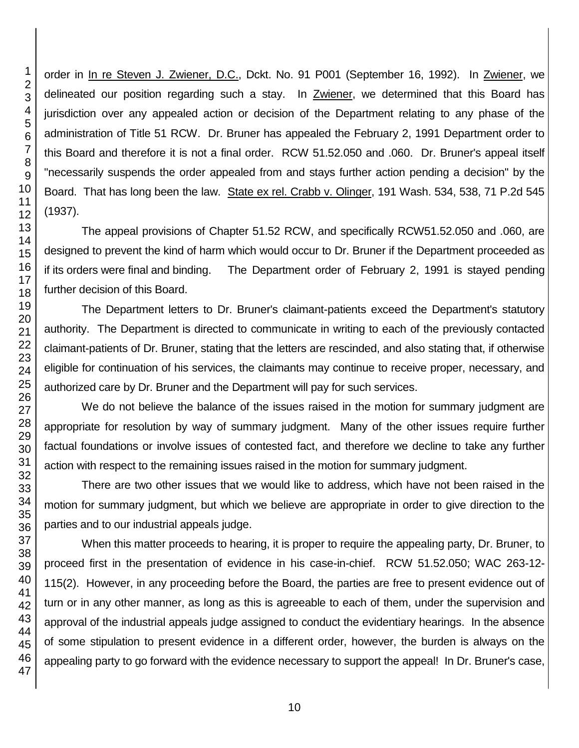order in In re Steven J. Zwiener, D.C., Dckt. No. 91 P001 (September 16, 1992). In Zwiener, we delineated our position regarding such a stay. In Zwiener, we determined that this Board has jurisdiction over any appealed action or decision of the Department relating to any phase of the administration of Title 51 RCW. Dr. Bruner has appealed the February 2, 1991 Department order to this Board and therefore it is not a final order. RCW 51.52.050 and .060. Dr. Bruner's appeal itself "necessarily suspends the order appealed from and stays further action pending a decision" by the Board. That has long been the law. State ex rel. Crabb v. Olinger, 191 Wash. 534, 538, 71 P.2d 545 (1937).

The appeal provisions of Chapter 51.52 RCW, and specifically RCW51.52.050 and .060, are designed to prevent the kind of harm which would occur to Dr. Bruner if the Department proceeded as if its orders were final and binding. The Department order of February 2, 1991 is stayed pending further decision of this Board.

The Department letters to Dr. Bruner's claimant-patients exceed the Department's statutory authority. The Department is directed to communicate in writing to each of the previously contacted claimant-patients of Dr. Bruner, stating that the letters are rescinded, and also stating that, if otherwise eligible for continuation of his services, the claimants may continue to receive proper, necessary, and authorized care by Dr. Bruner and the Department will pay for such services.

We do not believe the balance of the issues raised in the motion for summary judgment are appropriate for resolution by way of summary judgment. Many of the other issues require further factual foundations or involve issues of contested fact, and therefore we decline to take any further action with respect to the remaining issues raised in the motion for summary judgment.

There are two other issues that we would like to address, which have not been raised in the motion for summary judgment, but which we believe are appropriate in order to give direction to the parties and to our industrial appeals judge.

When this matter proceeds to hearing, it is proper to require the appealing party, Dr. Bruner, to proceed first in the presentation of evidence in his case-in-chief. RCW 51.52.050; WAC 263-12- 115(2). However, in any proceeding before the Board, the parties are free to present evidence out of turn or in any other manner, as long as this is agreeable to each of them, under the supervision and approval of the industrial appeals judge assigned to conduct the evidentiary hearings. In the absence of some stipulation to present evidence in a different order, however, the burden is always on the appealing party to go forward with the evidence necessary to support the appeal! In Dr. Bruner's case,